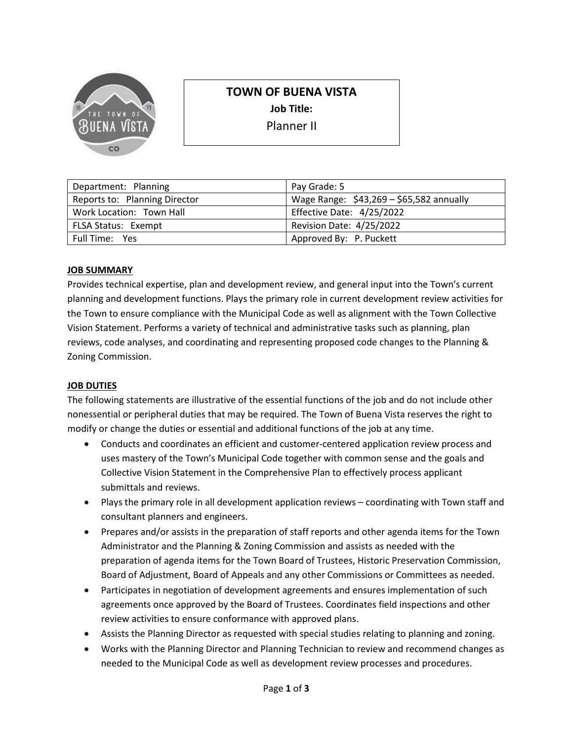

# **TOWN OF BUENA VISTA**

**Job Title:** 

Planner II

| Department: Planning          | Pay Grade: 5                             |
|-------------------------------|------------------------------------------|
| Reports to: Planning Director | Wage Range: \$43,269 - \$65,582 annually |
| Work Location: Town Hall      | Effective Date: 4/25/2022                |
| FLSA Status: Exempt           | Revision Date: 4/25/2022                 |
| Full Time: Yes                | Approved By: P. Puckett                  |

## **JOB SUMMARY**

Provides technical expertise, plan and development review, and general input into the Town's current planning and development functions. Plays the primary role in current development review activities for the Town to ensure compliance with the Municipal Code as well as alignment with the Town Collective Vision Statement. Performs a variety of technical and administrative tasks such as planning, plan reviews, code analyses, and coordinating and representing proposed code changes to the Planning & Zoning Commission.

## **JOB DUTIES**

The following statements are illustrative of the essential functions of the job and do not include other nonessential or peripheral duties that may be required. The Town of Buena Vista reserves the right to modify or change the duties or essential and additional functions of the job at any time.

- Conducts and coordinates an efficient and customer-centered application review process and uses mastery of the Town's Municipal Code together with common sense and the goals and Collective Vision Statement in the Comprehensive Plan to effectively process applicant submittals and reviews.
- Plays the primary role in all development application reviews coordinating with Town staff and consultant planners and engineers.
- Prepares and/or assists in the preparation of staff reports and other agenda items for the Town Administrator and the Planning & Zoning Commission and assists as needed with the preparation of agenda items for the Town Board of Trustees, Historic Preservation Commission, Board of Adjustment, Board of Appeals and any other Commissions or Committees as needed.
- Participates in negotiation of development agreements and ensures implementation of such agreements once approved by the Board of Trustees. Coordinates field inspections and other review activities to ensure conformance with approved plans.
- Assists the Planning Director as requested with special studies relating to planning and zoning.
- Works with the Planning Director and Planning Technician to review and recommend changes as needed to the Municipal Code as well as development review processes and procedures.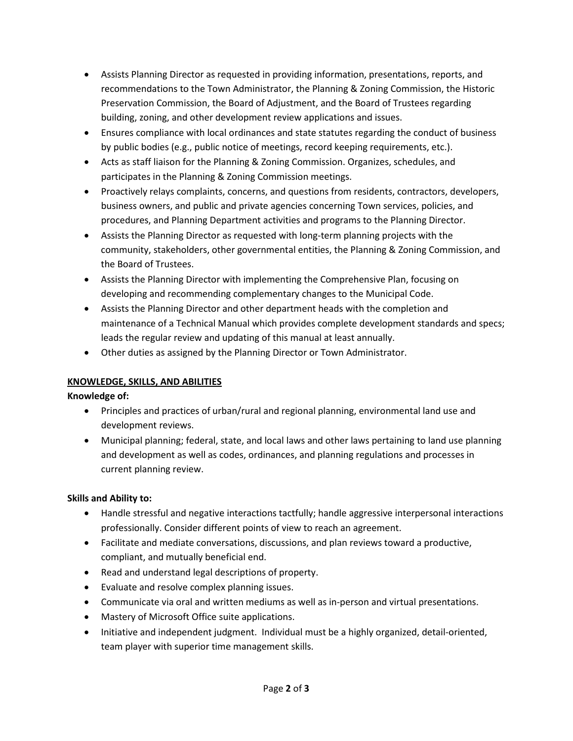- Assists Planning Director as requested in providing information, presentations, reports, and recommendations to the Town Administrator, the Planning & Zoning Commission, the Historic Preservation Commission, the Board of Adjustment, and the Board of Trustees regarding building, zoning, and other development review applications and issues.
- Ensures compliance with local ordinances and state statutes regarding the conduct of business by public bodies (e.g., public notice of meetings, record keeping requirements, etc.).
- Acts as staff liaison for the Planning & Zoning Commission. Organizes, schedules, and participates in the Planning & Zoning Commission meetings.
- Proactively relays complaints, concerns, and questions from residents, contractors, developers, business owners, and public and private agencies concerning Town services, policies, and procedures, and Planning Department activities and programs to the Planning Director.
- Assists the Planning Director as requested with long-term planning projects with the community, stakeholders, other governmental entities, the Planning & Zoning Commission, and the Board of Trustees.
- Assists the Planning Director with implementing the Comprehensive Plan, focusing on developing and recommending complementary changes to the Municipal Code.
- Assists the Planning Director and other department heads with the completion and maintenance of a Technical Manual which provides complete development standards and specs; leads the regular review and updating of this manual at least annually.
- Other duties as assigned by the Planning Director or Town Administrator.

## **KNOWLEDGE, SKILLS, AND ABILITIES**

## **Knowledge of:**

- Principles and practices of urban/rural and regional planning, environmental land use and development reviews.
- Municipal planning; federal, state, and local laws and other laws pertaining to land use planning and development as well as codes, ordinances, and planning regulations and processes in current planning review.

## **Skills and Ability to:**

- Handle stressful and negative interactions tactfully; handle aggressive interpersonal interactions professionally. Consider different points of view to reach an agreement.
- Facilitate and mediate conversations, discussions, and plan reviews toward a productive, compliant, and mutually beneficial end.
- Read and understand legal descriptions of property.
- Evaluate and resolve complex planning issues.
- Communicate via oral and written mediums as well as in-person and virtual presentations.
- Mastery of Microsoft Office suite applications.
- Initiative and independent judgment. Individual must be a highly organized, detail-oriented, team player with superior time management skills.